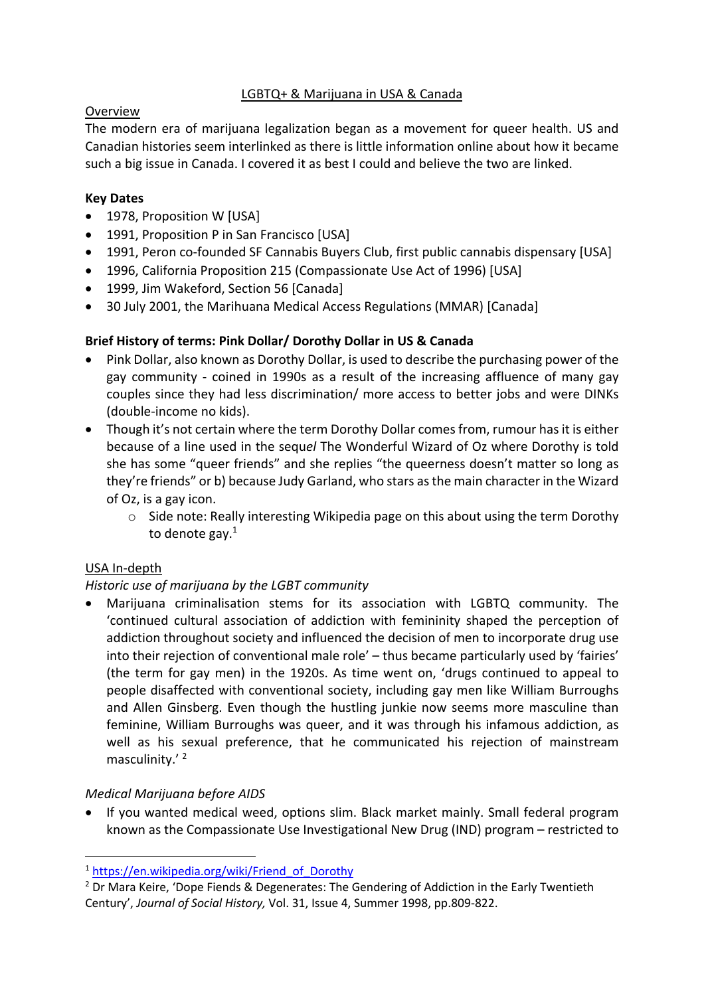## LGBTQ+ & Marijuana in USA & Canada

## Overview

The modern era of marijuana legalization began as a movement for queer health. US and Canadian histories seem interlinked as there is little information online about how it became such a big issue in Canada. I covered it as best I could and believe the two are linked.

#### **Key Dates**

- 1978, Proposition W [USA]
- 1991, Proposition P in San Francisco [USA]
- 1991, Peron co-founded SF Cannabis Buyers Club, first public cannabis dispensary [USA]
- 1996, California Proposition 215 (Compassionate Use Act of 1996) [USA]
- 1999, Jim Wakeford, Section 56 [Canada]
- 30 July 2001, the Marihuana Medical Access Regulations (MMAR) [Canada]

## **Brief History of terms: Pink Dollar/ Dorothy Dollar in US & Canada**

- Pink Dollar, also known as Dorothy Dollar, is used to describe the purchasing power of the gay community - coined in 1990s as a result of the increasing affluence of many gay couples since they had less discrimination/ more access to better jobs and were DINKs (double-income no kids).
- Though it's not certain where the term Dorothy Dollar comes from, rumour has it is either because of a line used in the sequ*el* The Wonderful Wizard of Oz where Dorothy is told she has some "queer friends" and she replies "the queerness doesn't matter so long as they're friends" or b) because Judy Garland, who stars as the main character in the Wizard of Oz, is a gay icon.
	- o Side note: Really interesting Wikipedia page on this about using the term Dorothy to denote gay. $^1$

## USA In-depth

## *Historic use of marijuana by the LGBT community*

• Marijuana criminalisation stems for its association with LGBTQ community. The 'continued cultural association of addiction with femininity shaped the perception of addiction throughout society and influenced the decision of men to incorporate drug use into their rejection of conventional male role' – thus became particularly used by 'fairies' (the term for gay men) in the 1920s. As time went on, 'drugs continued to appeal to people disaffected with conventional society, including gay men like William Burroughs and Allen Ginsberg. Even though the hustling junkie now seems more masculine than feminine, William Burroughs was queer, and it was through his infamous addiction, as well as his sexual preference, that he communicated his rejection of mainstream masculinity.' 2

## *Medical Marijuana before AIDS*

• If you wanted medical weed, options slim. Black market mainly. Small federal program known as the Compassionate Use Investigational New Drug (IND) program – restricted to

<sup>&</sup>lt;sup>1</sup> https://en.wikipedia.org/wiki/Friend\_of\_Dorothy

 $2$  Dr Mara Keire, 'Dope Fiends & Degenerates: The Gendering of Addiction in the Early Twentieth Century', *Journal of Social History,* Vol. 31, Issue 4, Summer 1998, pp.809-822.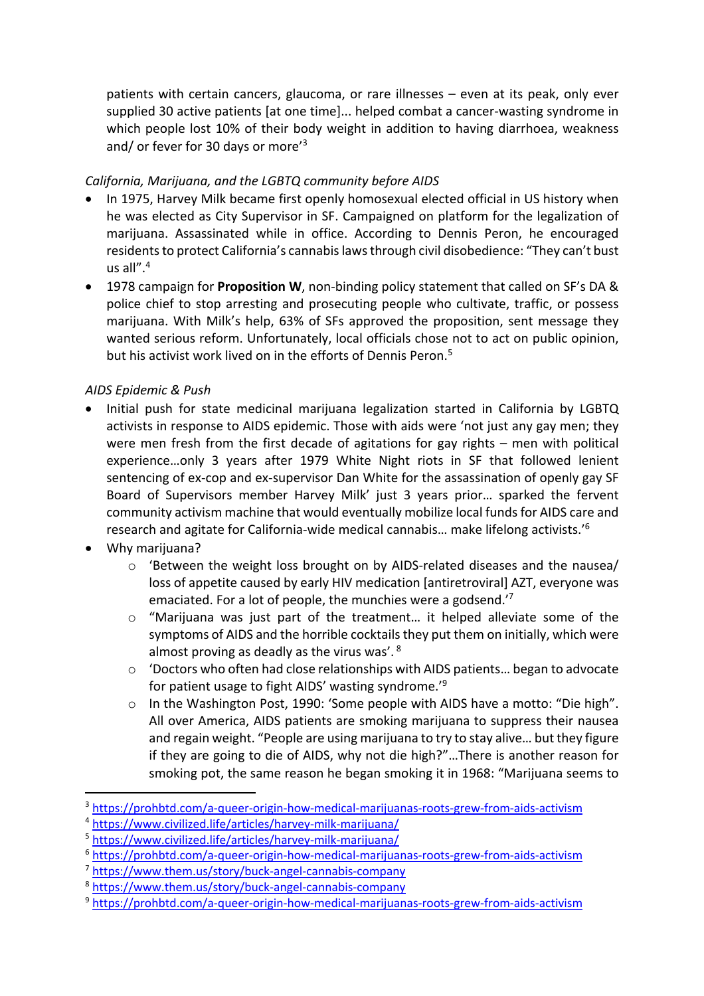patients with certain cancers, glaucoma, or rare illnesses – even at its peak, only ever supplied 30 active patients [at one time]... helped combat a cancer-wasting syndrome in which people lost 10% of their body weight in addition to having diarrhoea, weakness and/ or fever for 30 days or more<sup>'3</sup>

## *California, Marijuana, and the LGBTQ community before AIDS*

- In 1975, Harvey Milk became first openly homosexual elected official in US history when he was elected as City Supervisor in SF. Campaigned on platform for the legalization of marijuana. Assassinated while in office. According to Dennis Peron, he encouraged residents to protect California's cannabis laws through civil disobedience: "They can't bust us all". $4$
- 1978 campaign for **Proposition W**, non-binding policy statement that called on SF's DA & police chief to stop arresting and prosecuting people who cultivate, traffic, or possess marijuana. With Milk's help, 63% of SFs approved the proposition, sent message they wanted serious reform. Unfortunately, local officials chose not to act on public opinion, but his activist work lived on in the efforts of Dennis Peron.<sup>5</sup>

## *AIDS Epidemic & Push*

- Initial push for state medicinal marijuana legalization started in California by LGBTQ activists in response to AIDS epidemic. Those with aids were 'not just any gay men; they were men fresh from the first decade of agitations for gay rights – men with political experience…only 3 years after 1979 White Night riots in SF that followed lenient sentencing of ex-cop and ex-supervisor Dan White for the assassination of openly gay SF Board of Supervisors member Harvey Milk' just 3 years prior… sparked the fervent community activism machine that would eventually mobilize local funds for AIDS care and research and agitate for California-wide medical cannabis… make lifelong activists.'6
- Why marijuana?
	- o 'Between the weight loss brought on by AIDS-related diseases and the nausea/ loss of appetite caused by early HIV medication [antiretroviral] AZT, everyone was emaciated. For a lot of people, the munchies were a godsend.'7
	- $\circ$  "Marijuana was just part of the treatment... it helped alleviate some of the symptoms of AIDS and the horrible cocktails they put them on initially, which were almost proving as deadly as the virus was'. <sup>8</sup>
	- $\circ$  'Doctors who often had close relationships with AIDS patients... began to advocate for patient usage to fight AIDS' wasting syndrome.' 9
	- o In the Washington Post, 1990: 'Some people with AIDS have a motto: "Die high". All over America, AIDS patients are smoking marijuana to suppress their nausea and regain weight. "People are using marijuana to try to stay alive… but they figure if they are going to die of AIDS, why not die high?"…There is another reason for smoking pot, the same reason he began smoking it in 1968: "Marijuana seems to

<sup>&</sup>lt;sup>3</sup> https://prohbtd.com/a-queer-origin-how-medical-marijuanas-roots-grew-from-aids-activism

<sup>4</sup> https://www.civilized.life/articles/harvey-milk-marijuana/

<sup>5</sup> https://www.civilized.life/articles/harvey-milk-marijuana/

<sup>6</sup> https://prohbtd.com/a-queer-origin-how-medical-marijuanas-roots-grew-from-aids-activism

<sup>7</sup> https://www.them.us/story/buck-angel-cannabis-company

<sup>8</sup> https://www.them.us/story/buck-angel-cannabis-company

<sup>9</sup> https://prohbtd.com/a-queer-origin-how-medical-marijuanas-roots-grew-from-aids-activism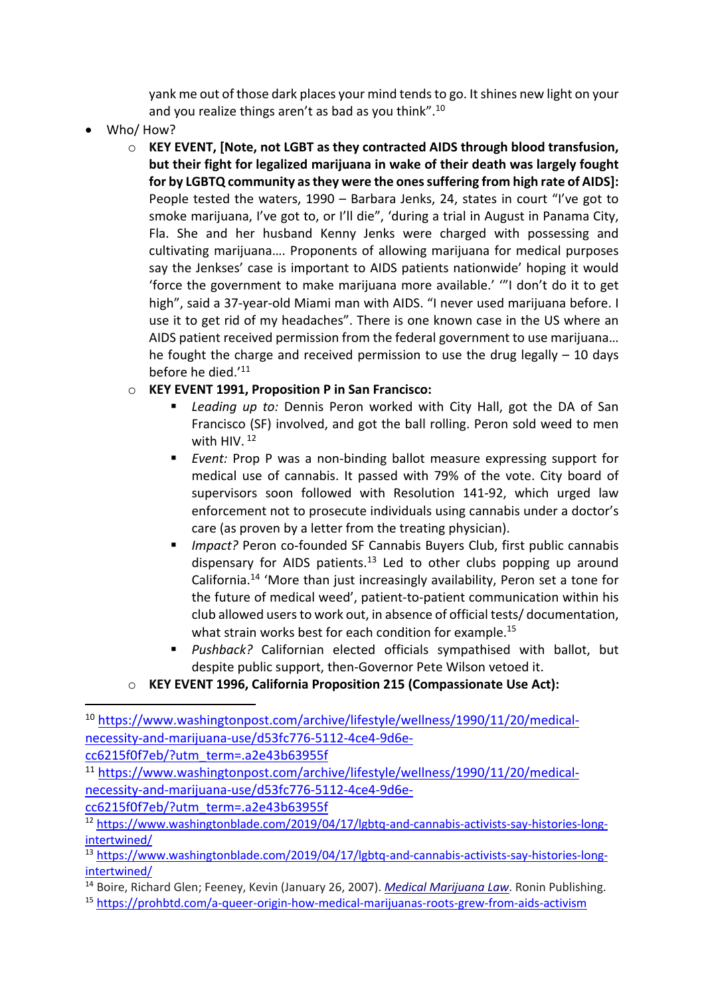yank me out of those dark places your mind tends to go. It shines new light on your and you realize things aren't as bad as you think".10

- Who/ How?
	- o **KEY EVENT, [Note, not LGBT as they contracted AIDS through blood transfusion, but their fight for legalized marijuana in wake of their death was largely fought for by LGBTQ community as they were the ones suffering from high rate of AIDS]:**  People tested the waters, 1990 – Barbara Jenks, 24, states in court "I've got to smoke marijuana, I've got to, or I'll die", 'during a trial in August in Panama City, Fla. She and her husband Kenny Jenks were charged with possessing and cultivating marijuana…. Proponents of allowing marijuana for medical purposes say the Jenkses' case is important to AIDS patients nationwide' hoping it would 'force the government to make marijuana more available.' '"I don't do it to get high", said a 37-year-old Miami man with AIDS. "I never used marijuana before. I use it to get rid of my headaches". There is one known case in the US where an AIDS patient received permission from the federal government to use marijuana… he fought the charge and received permission to use the drug legally  $-10$  days before he died.'11

# o **KEY EVENT 1991, Proposition P in San Francisco:**

- § *Leading up to:* Dennis Peron worked with City Hall, got the DA of San Francisco (SF) involved, and got the ball rolling. Peron sold weed to men with HIV.<sup>12</sup>
- *Event:* Prop P was a non-binding ballot measure expressing support for medical use of cannabis. It passed with 79% of the vote. City board of supervisors soon followed with Resolution 141-92, which urged law enforcement not to prosecute individuals using cannabis under a doctor's care (as proven by a letter from the treating physician).
- *Impact?* Peron co-founded SF Cannabis Buyers Club, first public cannabis dispensary for AIDS patients.<sup>13</sup> Led to other clubs popping up around California.14 'More than just increasingly availability, Peron set a tone for the future of medical weed', patient-to-patient communication within his club allowed users to work out, in absence of official tests/ documentation, what strain works best for each condition for example.<sup>15</sup>
- § *Pushback?* Californian elected officials sympathised with ballot, but despite public support, then-Governor Pete Wilson vetoed it.

# o **KEY EVENT 1996, California Proposition 215 (Compassionate Use Act):**

cc6215f0f7eb/?utm\_term=.a2e43b63955f

cc6215f0f7eb/?utm\_term=.a2e43b63955f

<sup>10</sup> https://www.washingtonpost.com/archive/lifestyle/wellness/1990/11/20/medicalnecessity-and-marijuana-use/d53fc776-5112-4ce4-9d6e-

<sup>11</sup> https://www.washingtonpost.com/archive/lifestyle/wellness/1990/11/20/medicalnecessity-and-marijuana-use/d53fc776-5112-4ce4-9d6e-

<sup>12</sup> https://www.washingtonblade.com/2019/04/17/lgbtq-and-cannabis-activists-say-histories-longintertwined/

<sup>13</sup> https://www.washingtonblade.com/2019/04/17/lgbtq-and-cannabis-activists-say-histories-longintertwined/

<sup>14</sup> Boire, Richard Glen; Feeney, Kevin (January 26, 2007). *Medical Marijuana Law*. Ronin Publishing.

<sup>15</sup> https://prohbtd.com/a-queer-origin-how-medical-marijuanas-roots-grew-from-aids-activism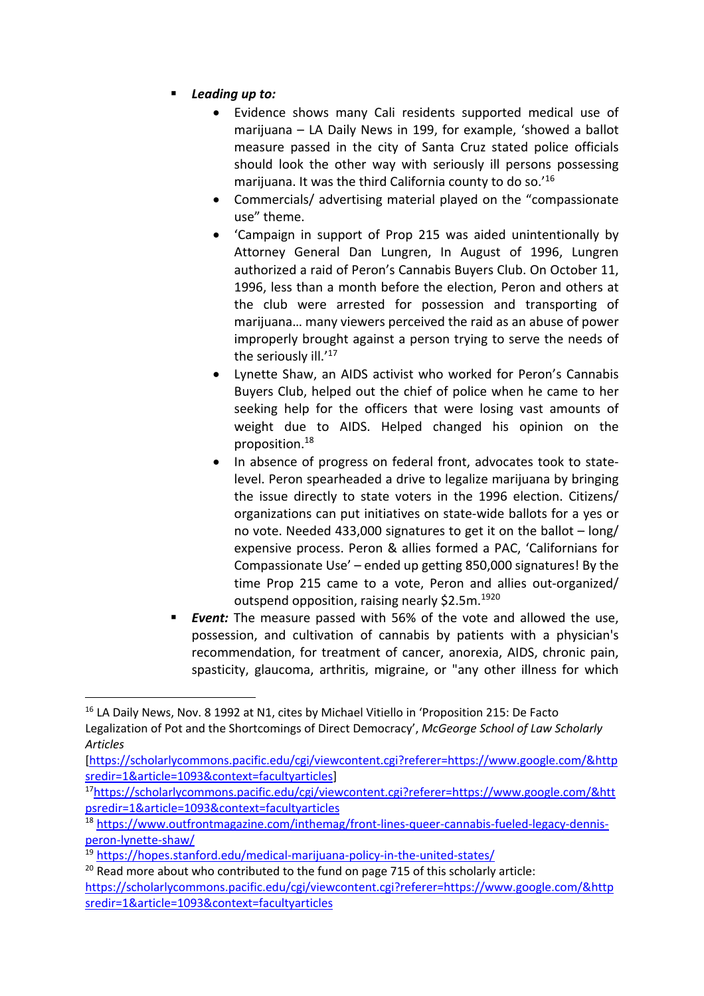- § *Leading up to:* 
	- Evidence shows many Cali residents supported medical use of marijuana – LA Daily News in 199, for example, 'showed a ballot measure passed in the city of Santa Cruz stated police officials should look the other way with seriously ill persons possessing marijuana. It was the third California county to do so.'16
	- Commercials/ advertising material played on the "compassionate use" theme.
	- 'Campaign in support of Prop 215 was aided unintentionally by Attorney General Dan Lungren, In August of 1996, Lungren authorized a raid of Peron's Cannabis Buyers Club. On October 11, 1996, less than a month before the election, Peron and others at the club were arrested for possession and transporting of marijuana… many viewers perceived the raid as an abuse of power improperly brought against a person trying to serve the needs of the seriously ill.'<sup>17</sup>
	- Lynette Shaw, an AIDS activist who worked for Peron's Cannabis Buyers Club, helped out the chief of police when he came to her seeking help for the officers that were losing vast amounts of weight due to AIDS. Helped changed his opinion on the proposition.18
	- In absence of progress on federal front, advocates took to statelevel. Peron spearheaded a drive to legalize marijuana by bringing the issue directly to state voters in the 1996 election. Citizens/ organizations can put initiatives on state-wide ballots for a yes or no vote. Needed 433,000 signatures to get it on the ballot – long/ expensive process. Peron & allies formed a PAC, 'Californians for Compassionate Use' – ended up getting 850,000 signatures! By the time Prop 215 came to a vote, Peron and allies out-organized/ outspend opposition, raising nearly \$2.5m.<sup>1920</sup>
- **Event:** The measure passed with 56% of the vote and allowed the use, possession, and cultivation of cannabis by patients with a physician's recommendation, for treatment of cancer, anorexia, AIDS, chronic pain, spasticity, glaucoma, arthritis, migraine, or "any other illness for which

https://scholarlycommons.pacific.edu/cgi/viewcontent.cgi?referer=https://www.google.com/&http sredir=1&article=1093&context=facultyarticles

<sup>&</sup>lt;sup>16</sup> LA Daily News, Nov. 8 1992 at N1, cites by Michael Vitiello in 'Proposition 215: De Facto

Legalization of Pot and the Shortcomings of Direct Democracy', *McGeorge School of Law Scholarly Articles* 

<sup>[</sup>https://scholarlycommons.pacific.edu/cgi/viewcontent.cgi?referer=https://www.google.com/&http sredir=1&article=1093&context=facultyarticles]

<sup>17</sup>https://scholarlycommons.pacific.edu/cgi/viewcontent.cgi?referer=https://www.google.com/&htt psredir=1&article=1093&context=facultyarticles

<sup>18</sup> https://www.outfrontmagazine.com/inthemag/front-lines-queer-cannabis-fueled-legacy-dennisperon-lynette-shaw/

<sup>19</sup> https://hopes.stanford.edu/medical-marijuana-policy-in-the-united-states/

 $20$  Read more about who contributed to the fund on page 715 of this scholarly article: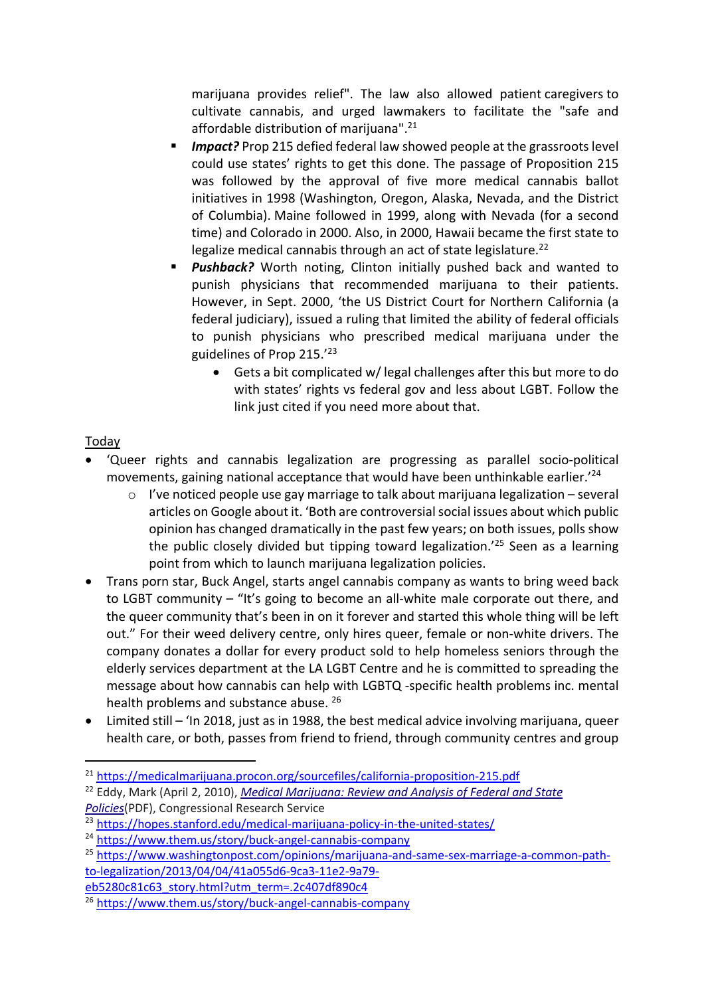marijuana provides relief". The law also allowed patient caregivers to cultivate cannabis, and urged lawmakers to facilitate the "safe and affordable distribution of marijuana".21

- **Impact?** Prop 215 defied federal law showed people at the grassroots level could use states' rights to get this done. The passage of Proposition 215 was followed by the approval of five more medical cannabis ballot initiatives in 1998 (Washington, Oregon, Alaska, Nevada, and the District of Columbia). Maine followed in 1999, along with Nevada (for a second time) and Colorado in 2000. Also, in 2000, Hawaii became the first state to legalize medical cannabis through an act of state legislature.<sup>22</sup>
- **Pushback?** Worth noting, Clinton initially pushed back and wanted to punish physicians that recommended marijuana to their patients. However, in Sept. 2000, 'the US District Court for Northern California (a federal judiciary), issued a ruling that limited the ability of federal officials to punish physicians who prescribed medical marijuana under the guidelines of Prop 215.'23
	- Gets a bit complicated w/ legal challenges after this but more to do with states' rights vs federal gov and less about LGBT. Follow the link just cited if you need more about that.

## Today

- 'Queer rights and cannabis legalization are progressing as parallel socio-political movements, gaining national acceptance that would have been unthinkable earlier.'24
	- $\circ$  I've noticed people use gay marriage to talk about marijuana legalization several articles on Google about it. 'Both are controversial social issues about which public opinion has changed dramatically in the past few years; on both issues, polls show the public closely divided but tipping toward legalization.'25 Seen as a learning point from which to launch marijuana legalization policies.
- Trans porn star, Buck Angel, starts angel cannabis company as wants to bring weed back to LGBT community – "It's going to become an all-white male corporate out there, and the queer community that's been in on it forever and started this whole thing will be left out." For their weed delivery centre, only hires queer, female or non-white drivers. The company donates a dollar for every product sold to help homeless seniors through the elderly services department at the LA LGBT Centre and he is committed to spreading the message about how cannabis can help with LGBTQ -specific health problems inc. mental health problems and substance abuse. 26
- Limited still 'In 2018, just as in 1988, the best medical advice involving marijuana, queer health care, or both, passes from friend to friend, through community centres and group

<sup>22</sup> Eddy, Mark (April 2, 2010), *Medical Marijuana: Review and Analysis of Federal and State Policies*(PDF), Congressional Research Service

eb5280c81c63\_story.html?utm\_term=.2c407df890c4

<sup>21</sup> https://medicalmarijuana.procon.org/sourcefiles/california-proposition-215.pdf

<sup>23</sup> https://hopes.stanford.edu/medical-marijuana-policy-in-the-united-states/

<sup>24</sup> https://www.them.us/story/buck-angel-cannabis-company

<sup>25</sup> https://www.washingtonpost.com/opinions/marijuana-and-same-sex-marriage-a-common-pathto-legalization/2013/04/04/41a055d6-9ca3-11e2-9a79-

<sup>26</sup> https://www.them.us/story/buck-angel-cannabis-company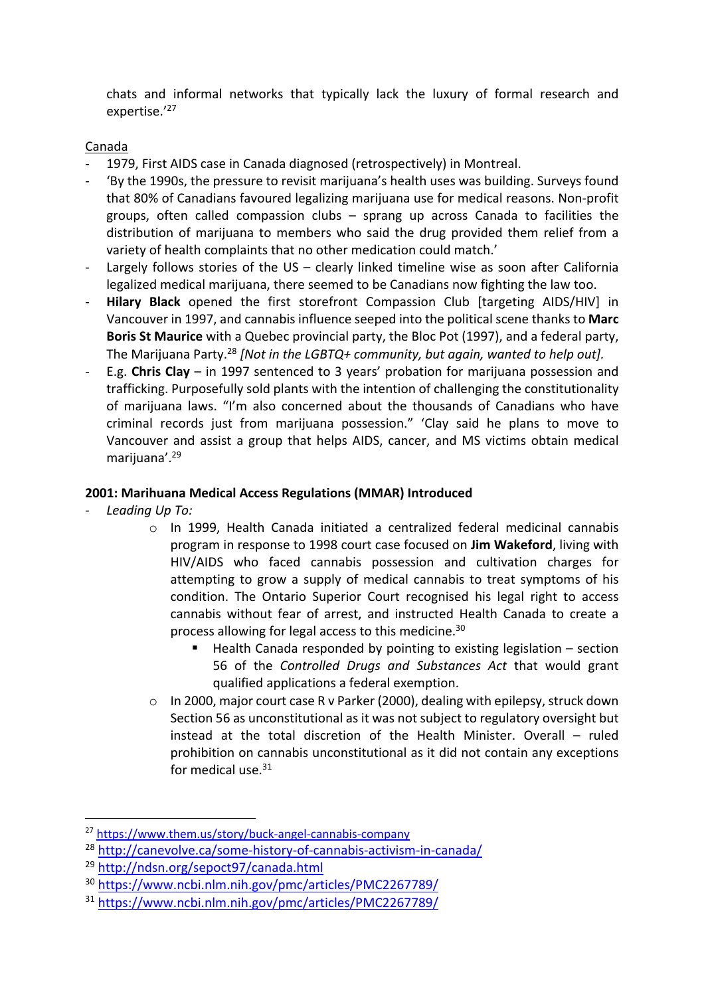chats and informal networks that typically lack the luxury of formal research and expertise.'27

## Canada

- 1979, First AIDS case in Canada diagnosed (retrospectively) in Montreal.
- 'By the 1990s, the pressure to revisit marijuana's health uses was building. Surveys found that 80% of Canadians favoured legalizing marijuana use for medical reasons. Non-profit groups, often called compassion clubs – sprang up across Canada to facilities the distribution of marijuana to members who said the drug provided them relief from a variety of health complaints that no other medication could match.'
- Largely follows stories of the US clearly linked timeline wise as soon after California legalized medical marijuana, there seemed to be Canadians now fighting the law too.
- **Hilary Black** opened the first storefront Compassion Club [targeting AIDS/HIV] in Vancouver in 1997, and cannabis influence seeped into the political scene thanks to **Marc Boris St Maurice** with a Quebec provincial party, the Bloc Pot (1997), and a federal party, The Marijuana Party.28 *[Not in the LGBTQ+ community, but again, wanted to help out].*
- E.g. **Chris Clay** in 1997 sentenced to 3 years' probation for marijuana possession and trafficking. Purposefully sold plants with the intention of challenging the constitutionality of marijuana laws. "I'm also concerned about the thousands of Canadians who have criminal records just from marijuana possession." 'Clay said he plans to move to Vancouver and assist a group that helps AIDS, cancer, and MS victims obtain medical marijuana'.29

#### **2001: Marihuana Medical Access Regulations (MMAR) Introduced**

- *Leading Up To:* 
	- o In 1999, Health Canada initiated a centralized federal medicinal cannabis program in response to 1998 court case focused on **Jim Wakeford**, living with HIV/AIDS who faced cannabis possession and cultivation charges for attempting to grow a supply of medical cannabis to treat symptoms of his condition. The Ontario Superior Court recognised his legal right to access cannabis without fear of arrest, and instructed Health Canada to create a process allowing for legal access to this medicine.30
		- Health Canada responded by pointing to existing legislation section 56 of the *Controlled Drugs and Substances Act* that would grant qualified applications a federal exemption.
	- o In 2000, major court case R v Parker (2000), dealing with epilepsy, struck down Section 56 as unconstitutional as it was not subject to regulatory oversight but instead at the total discretion of the Health Minister. Overall – ruled prohibition on cannabis unconstitutional as it did not contain any exceptions for medical use.<sup>31</sup>

<sup>&</sup>lt;sup>27</sup> https://www.them.us/story/buck-angel-cannabis-company

<sup>28</sup> http://canevolve.ca/some-history-of-cannabis-activism-in-canada/

<sup>29</sup> http://ndsn.org/sepoct97/canada.html

<sup>30</sup> https://www.ncbi.nlm.nih.gov/pmc/articles/PMC2267789/

<sup>31</sup> https://www.ncbi.nlm.nih.gov/pmc/articles/PMC2267789/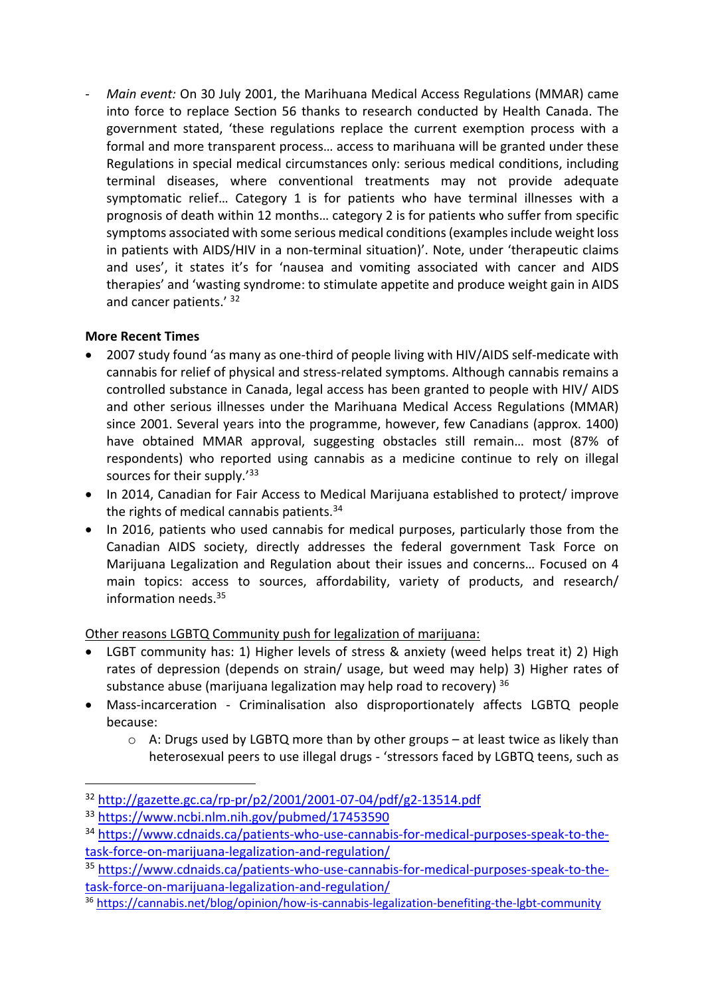- *Main event:* On 30 July 2001, the Marihuana Medical Access Regulations (MMAR) came into force to replace Section 56 thanks to research conducted by Health Canada. The government stated, 'these regulations replace the current exemption process with a formal and more transparent process… access to marihuana will be granted under these Regulations in special medical circumstances only: serious medical conditions, including terminal diseases, where conventional treatments may not provide adequate symptomatic relief... Category 1 is for patients who have terminal illnesses with a prognosis of death within 12 months… category 2 is for patients who suffer from specific symptoms associated with some serious medical conditions (examples include weight loss in patients with AIDS/HIV in a non-terminal situation)'. Note, under 'therapeutic claims and uses', it states it's for 'nausea and vomiting associated with cancer and AIDS therapies' and 'wasting syndrome: to stimulate appetite and produce weight gain in AIDS and cancer patients.' 32

## **More Recent Times**

- 2007 study found 'as many as one-third of people living with HIV/AIDS self-medicate with cannabis for relief of physical and stress-related symptoms. Although cannabis remains a controlled substance in Canada, legal access has been granted to people with HIV/ AIDS and other serious illnesses under the Marihuana Medical Access Regulations (MMAR) since 2001. Several years into the programme, however, few Canadians (approx. 1400) have obtained MMAR approval, suggesting obstacles still remain… most (87% of respondents) who reported using cannabis as a medicine continue to rely on illegal sources for their supply.<sup>'33</sup>
- In 2014, Canadian for Fair Access to Medical Marijuana established to protect/ improve the rights of medical cannabis patients. $34$
- In 2016, patients who used cannabis for medical purposes, particularly those from the Canadian AIDS society, directly addresses the federal government Task Force on Marijuana Legalization and Regulation about their issues and concerns… Focused on 4 main topics: access to sources, affordability, variety of products, and research/ information needs.35

## Other reasons LGBTQ Community push for legalization of marijuana:

- LGBT community has: 1) Higher levels of stress & anxiety (weed helps treat it) 2) High rates of depression (depends on strain/ usage, but weed may help) 3) Higher rates of substance abuse (marijuana legalization may help road to recovery) 36
- Mass-incarceration Criminalisation also disproportionately affects LGBTQ people because:
	- $\circ$  A: Drugs used by LGBTQ more than by other groups at least twice as likely than heterosexual peers to use illegal drugs - 'stressors faced by LGBTQ teens, such as

<sup>32</sup> http://gazette.gc.ca/rp-pr/p2/2001/2001-07-04/pdf/g2-13514.pdf

<sup>33</sup> https://www.ncbi.nlm.nih.gov/pubmed/17453590

<sup>34</sup> https://www.cdnaids.ca/patients-who-use-cannabis-for-medical-purposes-speak-to-thetask-force-on-marijuana-legalization-and-regulation/

<sup>35</sup> https://www.cdnaids.ca/patients-who-use-cannabis-for-medical-purposes-speak-to-thetask-force-on-marijuana-legalization-and-regulation/

<sup>36</sup> https://cannabis.net/blog/opinion/how-is-cannabis-legalization-benefiting-the-lgbt-community